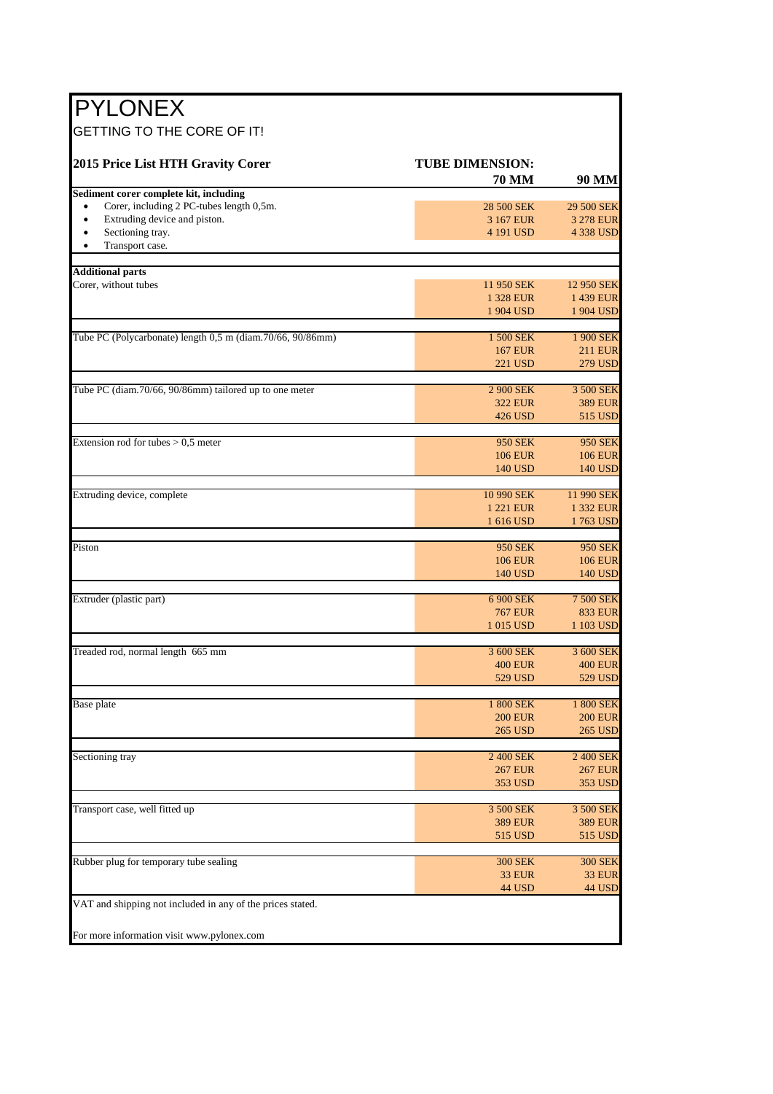| <b>PYLONEX</b>                                                                                     |                                        |                         |
|----------------------------------------------------------------------------------------------------|----------------------------------------|-------------------------|
| GETTING TO THE CORE OF IT!                                                                         |                                        |                         |
| 2015 Price List HTH Gravity Corer                                                                  | <b>TUBE DIMENSION:</b><br><b>70 MM</b> | 90 MM                   |
| Sediment corer complete kit, including                                                             |                                        |                         |
| Corer, including 2 PC-tubes length 0,5m.<br>$\bullet$<br>Extruding device and piston.<br>$\bullet$ | 28 500 SEK<br>3 167 EUR                | 29 500 SEK<br>3 278 EUR |
| Sectioning tray.                                                                                   | 4 191 USD                              | 4 338 USD               |
| Transport case.<br>$\bullet$                                                                       |                                        |                         |
| <b>Additional parts</b>                                                                            |                                        |                         |
| Corer, without tubes                                                                               | 11 950 SEK                             | 12 950 SEK              |
|                                                                                                    | 1 328 EUR                              | 1 439 EUR               |
|                                                                                                    | 1 904 USD                              | 1 904 USD               |
| Tube PC (Polycarbonate) length 0,5 m (diam.70/66, 90/86mm)                                         | 1 500 SEK                              | 1 900 SEK               |
|                                                                                                    | <b>167 EUR</b>                         | <b>211 EUR</b>          |
|                                                                                                    | 221 USD                                | 279 USD                 |
| Tube PC (diam.70/66, 90/86mm) tailored up to one meter                                             | 2 900 SEK                              | 3 500 SEK               |
|                                                                                                    | <b>322 EUR</b>                         | <b>389 EUR</b>          |
|                                                                                                    | 426 USD                                | 515 USD                 |
| Extension rod for tubes $> 0.5$ meter                                                              | <b>950 SEK</b>                         | 950 SEK                 |
|                                                                                                    | <b>106 EUR</b>                         | <b>106 EUR</b>          |
|                                                                                                    | 140 USD                                | 140 USD                 |
| Extruding device, complete                                                                         | 10 990 SEK                             | 11 990 SEK              |
|                                                                                                    | 1 221 EUR                              | 1 332 EUR               |
|                                                                                                    | 1 616 USD                              | 1763 USD                |
| Piston                                                                                             | 950 SEK                                | 950 SEK                 |
|                                                                                                    | <b>106 EUR</b>                         | <b>106 EUR</b>          |
|                                                                                                    | 140 USD                                | 140 USD                 |
| Extruder (plastic part)                                                                            | 6 900 SEK                              | 7 500 SEK               |
|                                                                                                    | <b>767 EUR</b>                         | <b>833 EUR</b>          |
|                                                                                                    | 1 015 USD                              | 1 103 USD               |
| Treaded rod, normal length 665 mm                                                                  | 3 600 SEK                              | 3 600 SEK               |
|                                                                                                    | <b>400 EUR</b>                         | <b>400 EUR</b>          |
|                                                                                                    | 529 USD                                | 529 USD                 |
| Base plate                                                                                         | 1 800 SEK                              | 1 800 SEK               |
|                                                                                                    | <b>200 EUR</b>                         | <b>200 EUR</b>          |
|                                                                                                    | <b>265 USD</b>                         | <b>265 USD</b>          |
| Sectioning tray                                                                                    | 2 400 SEK                              | 2 400 SEK               |
|                                                                                                    | <b>267 EUR</b>                         | <b>267 EUR</b>          |
|                                                                                                    | 353 USD                                | 353 USD                 |
| Transport case, well fitted up                                                                     | 3 500 SEK                              | 3 500 SEK               |
|                                                                                                    | <b>389 EUR</b>                         | <b>389 EUR</b>          |
|                                                                                                    | 515 USD                                | 515 USD                 |
| Rubber plug for temporary tube sealing                                                             | <b>300 SEK</b>                         | <b>300 SEK</b>          |
|                                                                                                    | <b>33 EUR</b>                          | 33 EUR                  |
|                                                                                                    | <b>44 USD</b>                          | 44 USD                  |
| VAT and shipping not included in any of the prices stated.                                         |                                        |                         |
| For more information visit www.pylonex.com                                                         |                                        |                         |